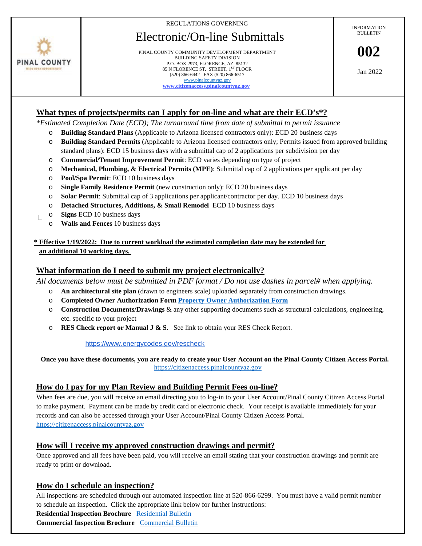REGULATIONS GOVERNING

# Electronic/On-line Submittals



PINAL COUNTY COMMUNITY DEVELOPMENT DEPARTMENT BUILDING SAFETY DIVISION P.O. BOX 2973, FLORENCE, AZ. 85132 85 N FLORENCE ST, STREET, 1ST FLOOR (520) 866-6442 FAX (520) 866-6517 [www.pinalcountyaz.gov](http://www.pinalcountyaz.gov/) **[www.citizenaccess.pinalcountyaz.gov](https://citizenaccess.pinalcountyaz.gov/CitizenAccess/)**

INFORMATION **BULLETIN** 

**002**

Jan 2022

# **What types of projects/permits can I apply for on-line and what are their ECD's\*?**

*\*Estimated Completion Date (ECD); The turnaround time from date of submittal to permit issuance*

- o **Building Standard Plans** (Applicable to Arizona licensed contractors only): ECD 20 business days
- o **Building Standard Permits** (Applicable to Arizona licensed contractors only; Permits issued from approved building standard plans): ECD 15 business days with a submittal cap of 2 applications per subdivision per day
- o **Commercial/Tenant Improvement Permit**: ECD varies depending on type of project
- o **Mechanical, Plumbing, & Electrical Permits (MPE)**: Submittal cap of 2 applications per applicant per day
- o **Pool/Spa Permit**: ECD 10 business days
- o **Single Family Residence Permit** (new construction only): ECD 20 business days
- o **Solar Permit**: Submittal cap of 3 applications per applicant/contractor per day. ECD 10 business days
- o **Detached Structures, Additions, & Small Remodel** ECD 10 business days
- o **Signs** ECD 10 business days  $\Box$ 
	- o **Walls and Fences** 10 business days

## **\* Effective 1/19/2022: Due to current workload the estimated completion date may be extended for an additional 10 working days.**

# **What information do I need to submit my project electronically?**

*All documents below must be submitted in PDF format / Do not use dashes in parcel# when applying.*

- o **An architectural site plan** (drawn to engineers scale) uploaded separately from construction drawings.
- o **Completed Owner Authorization For[m Property Owner Authorization Form](file://PINALCOUNTY.MIS/Department/BSD/PERMIT%20TECHS/Forms/PDF%20FORMS/Prop%20Owner%20Auth%20rev%2012-17.pdf)**
- o **Construction Documents/Drawings** & any other supporting documents such as structural calculations, engineering, etc. specific to your project
- o **RES Check report or Manual J & S.** See link to obtain your RES Check Report.

<https://www.energycodes.gov/rescheck>

 **Once you have these documents, you are ready to create your User Account on the Pinal County Citizen Access Portal.** [https://citizenaccess.pinalcountyaz.gov](https://citizenaccess.pinalcountyaz.gov/)

## **How do I pay for my Plan Review and Building Permit Fees on-line?**

When fees are due, you will receive an email directing you to log-in to your User Account/Pinal County Citizen Access Portal to make payment. Payment can be made by credit card or electronic check. Your receipt is available immediately for your records and can also be accessed through your User Account/Pinal County Citizen Access Portal. [https://citizenaccess.pinalcountyaz.gov](https://citizenaccess.pinalcountyaz.gov/)

# **How will I receive my approved construction drawings and permit?**

Once approved and all fees have been paid, you will receive an email stating that your construction drawings and permit are ready to print or download.

# **How do I schedule an inspection?**

All inspections are scheduled through our automated inspection line at 520-866-6299. You must have a valid permit number to schedule an inspection. Click the appropriate link below for further instructions:

**Residential Inspection Brochure** [Residential Bulletin](http://pinalcountyaz.gov/CommunityDevelopment/BuildingSafety/Documents/IVR-BrochureResidential.pdf) **Commercial Inspection Brochure** [Commercial Bulletin](http://pinalcountyaz.gov/CommunityDevelopment/BuildingSafety/Documents/IVR-BrochureCommercial.pdf)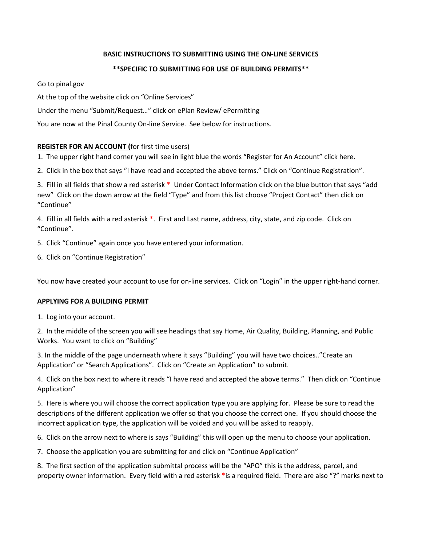#### **BASIC INSTRUCTIONS TO SUBMITTING USING THE ON-LINE SERVICES**

## **\*\*SPECIFIC TO SUBMITTING FOR USE OF BUILDING PERMITS\*\***

Go to pinal.gov

At the top of the website click on "Online Services"

Under the menu "Submit/Request…" click on ePlan Review/ ePermitting

You are now at the Pinal County On-line Service. See below for instructions.

#### **REGISTER FOR AN ACCOUNT (**for first time users)

1. The upper right hand corner you will see in light blue the words "Register for An Account" click here.

2. Click in the box that says "I have read and accepted the above terms." Click on "Continue Registration".

3. Fill in all fields that show a red asterisk \* Under Contact Information click on the blue button that says "add new" Click on the down arrow at the field "Type" and from this list choose "Project Contact" then click on "Continue"

4. Fill in all fields with a red asterisk \*. First and Last name, address, city, state, and zip code. Click on "Continue".

- 5. Click "Continue" again once you have entered your information.
- 6. Click on "Continue Registration"

You now have created your account to use for on-line services. Click on "Login" in the upper right-hand corner.

#### **APPLYING FOR A BUILDING PERMIT**

1. Log into your account.

2. In the middle of the screen you will see headings that say Home, Air Quality, Building, Planning, and Public Works. You want to click on "Building"

3. In the middle of the page underneath where it says "Building" you will have two choices.."Create an Application" or "Search Applications". Click on "Create an Application" to submit.

4. Click on the box next to where it reads "I have read and accepted the above terms." Then click on "Continue Application"

5. Here is where you will choose the correct application type you are applying for. Please be sure to read the descriptions of the different application we offer so that you choose the correct one. If you should choose the incorrect application type, the application will be voided and you will be asked to reapply.

6. Click on the arrow next to where is says "Building" this will open up the menu to choose your application.

7. Choose the application you are submitting for and click on "Continue Application"

8. The first section of the application submittal process will be the "APO" this is the address, parcel, and property owner information. Every field with a red asterisk \*is a required field. There are also "?" marks next to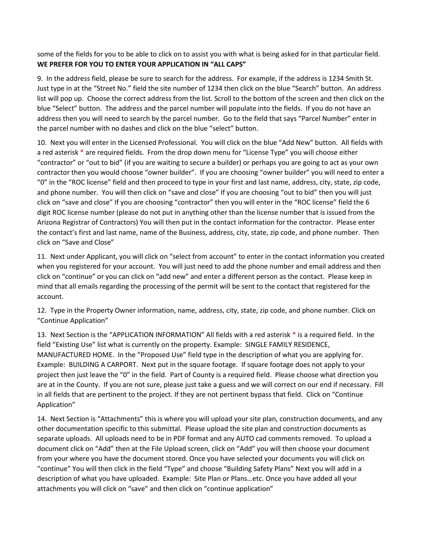some of the fields for you to be able to click on to assist you with what is being asked for in that particular field. **WE PREFER FOR YOU TO ENTER YOUR APPLICATION IN "ALL CAPS"**

9. In the address field, please be sure to search for the address. For example, if the address is 1234 Smith St. Just type in at the "Street No." field the site number of 1234 then click on the blue "Search" button. An address list will pop up. Choose the correct address from the list. Scroll to the bottom of the screen and then click on the blue "Select" button. The address and the parcel number will populate into the fields. If you do not have an address then you will need to search by the parcel number. Go to the field that says "Parcel Number" enter in the parcel number with no dashes and click on the blue "select" button.

10. Next you will enter in the Licensed Professional. You will click on the blue "Add New" button. All fields with a red asterisk \* are required fields. From the drop down menu for "License Type" you will choose either "contractor" or "out to bid" (if you are waiting to secure a builder) or perhaps you are going to act as your own contractor then you would choose "owner builder". If you are choosing "owner builder" you will need to enter a "0" in the "ROC license" field and then proceed to type in your first and last name, address, city, state, zip code, and phone number. You will then click on "save and close" If you are choosing "out to bid" then you will just click on "save and close" If you are choosing "contractor" then you will enter in the "ROC license" field the 6 digit ROC license number (please do not put in anything other than the license number that is issued from the Arizona Registrar of Contractors) You will then put in the contact information for the contractor. Please enter the contact's first and last name, name of the Business, address, city, state, zip code, and phone number. Then click on "Save and Close"

11. Next under Applicant, you will click on "select from account" to enter in the contact information you created when you registered for your account. You will just need to add the phone number and email address and then click on "continue" or you can click on "add new" and enter a different person as the contact. Please keep in mind that all emails regarding the processing of the permit will be sent to the contact that registered for the account.

12. Type in the Property Owner information, name, address, city, state, zip code, and phone number. Click on "Continue Application"

13. Next Section is the "APPLICATION INFORMATION" All fields with a red asterisk \* is a required field. In the field "Existing Use" list what is currently on the property. Example: SINGLE FAMILY RESIDENCE, MANUFACTURED HOME. In the "Proposed Use" field type in the description of what you are applying for. Example: BUILDING A CARPORT. Next put in the square footage. If square footage does not apply to your project then just leave the "0" in the field. Part of County is a required field. Please choose what direction you are at in the County. If you are not sure, please just take a guess and we will correct on our end if necessary. Fill in all fields that are pertinent to the project. If they are not pertinent bypass that field. Click on "Continue Application"

14. Next Section is "Attachments" this is where you will upload your site plan, construction documents, and any other documentation specific to this submittal. Please upload the site plan and construction documents as separate uploads. All uploads need to be in PDF format and any AUTO cad comments removed. To upload a document click on "Add" then at the File Upload screen, click on "Add" you will then choose your document from your where you have the document stored. Once you have selected your documents you will click on "continue" You will then click in the field "Type" and choose "Building Safety Plans" Next you will add in a description of what you have uploaded. Example: Site Plan or Plans…etc. Once you have added all your attachments you will click on "save" and then click on "continue application"